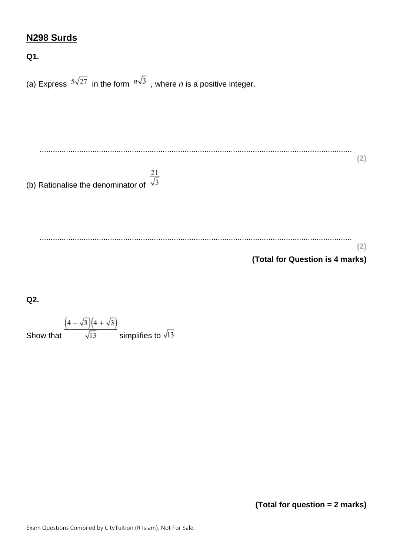# **N298 Surds**

**Q1.**

(a) Express  $5\sqrt{27}$  in the form  $n\sqrt{3}$ , where *n* is a positive integer. .............................................................................................................................................. **(2)** (b) Rationalise the denominator of  $\frac{21}{\sqrt{3}}$  .............................................................................................................................................. **(2) (Total for Question is 4 marks)**

**Q2.**

Show that  $\frac{\left(4-\sqrt{3}\right)\left(4+\sqrt{3}\right)}{\sqrt{13}}$  simplifies to  $\sqrt{13}$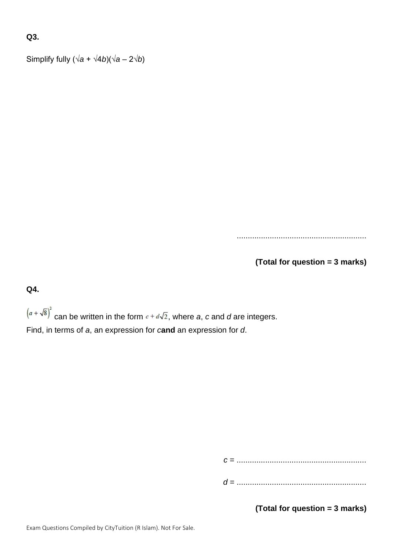# **Q3.**

Simplify fully  $(\sqrt{a} + \sqrt{4b})(\sqrt{a} - 2\sqrt{b})$ 

...........................................................

**(Total for question = 3 marks)**

**Q4.**

 $(a + \sqrt{8})^2$  can be written in the form  $c + d\sqrt{2}$ , where *a*, *c* and *d* are integers. Find, in terms of *a*, an expression for *c***and** an expression for *d*.

*c* = ...........................................................

*d* = ...........................................................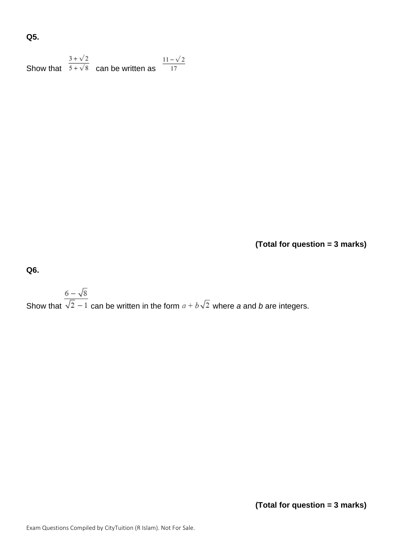# **Q5.**

| $3 + \sqrt{2}$ |                                          | $11 - \sqrt{2}$ |
|----------------|------------------------------------------|-----------------|
|                | Show that $5+\sqrt{8}$ can be written as |                 |

**(Total for question = 3 marks)**

**Q6.**

# Show that  $\frac{6-\sqrt{8}}{\sqrt{2}-1}$  can be written in the form  $a+b\sqrt{2}$  where *a* and *b* are integers.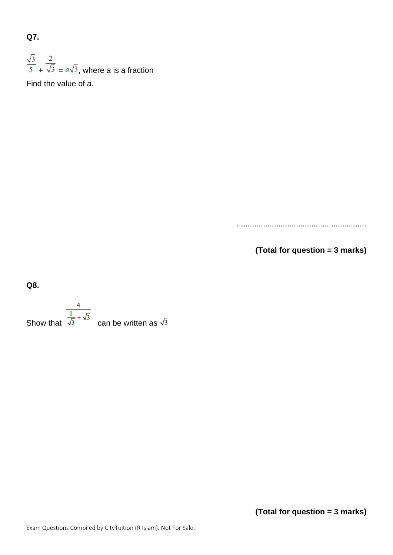**Q7.**

 $\frac{\sqrt{3}}{5}$  +  $\frac{2}{\sqrt{3}}$  =  $a\sqrt{3}$ , where *a* is a fraction Find the value of *a*.

...........................................................

**(Total for question = 3 marks)**

**Q8.**

 $rac{4}{\sqrt{3} + \sqrt{3}}$  can be written as  $\sqrt{3}$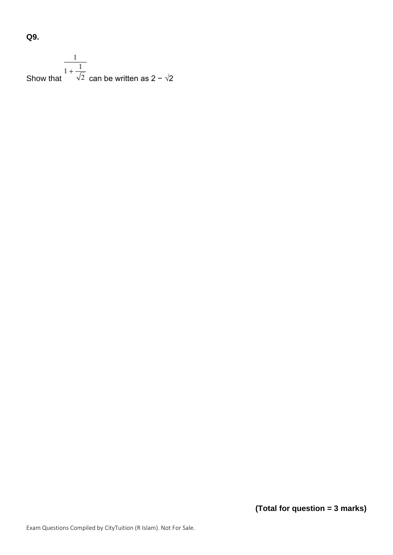**Q9.**

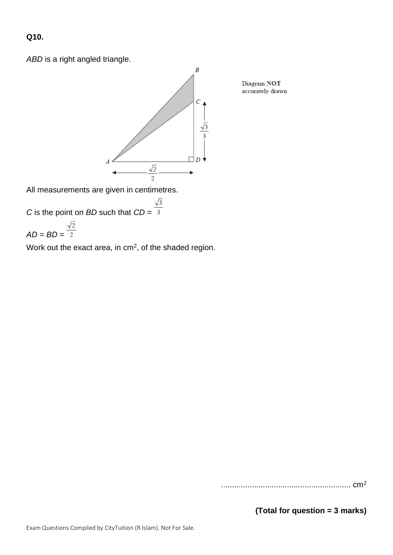#### **Q10.**

*ABD* is a right angled triangle.



All measurements are given in centimetres.

*C* is the point on *BD* such that 
$$
CD = \frac{\sqrt{3}}{3}
$$

$$
AD = BD = \frac{\sqrt{2}}{2}
$$

Work out the exact area, in  $cm<sup>2</sup>$ , of the shaded region.

Diagram NOT accurately drawn

........................................................... cm<sup>2</sup>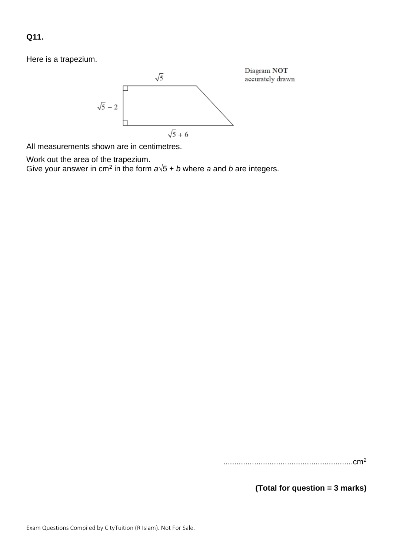**Q11.**

Here is a trapezium.



All measurements shown are in centimetres.

Work out the area of the trapezium.

Give your answer in cm<sup>2</sup> in the form  $a\sqrt{5} + b$  where *a* and *b* are integers.

...........................................................cm<sup>2</sup>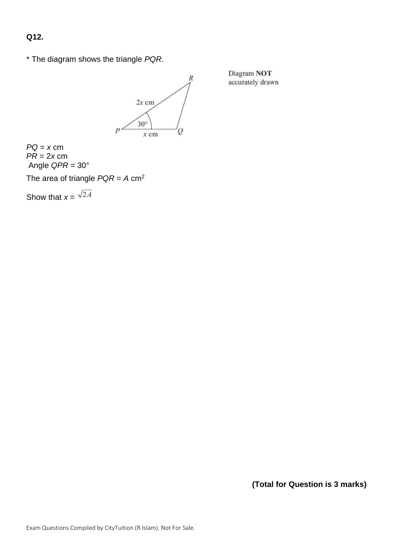**Q12.**

\* The diagram shows the triangle *PQR*.



Diagram NOT accurately drawn

 $PQ = x$  cm *PR* = 2*x* cm Angle *QPR* = 30°

The area of triangle *PQR* = *A* cm<sup>2</sup>

Show that  $x = \sqrt{2A}$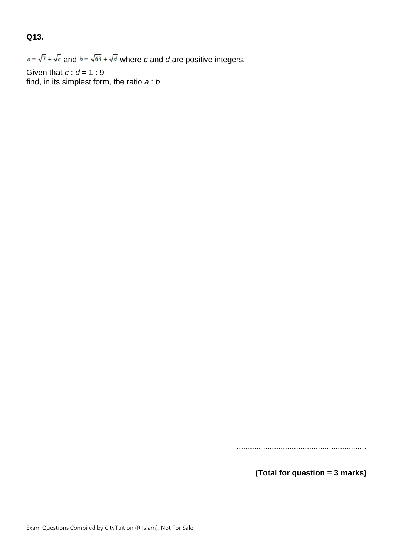# **Q13.**

 $a = \sqrt{7} + \sqrt{c}$  and  $b = \sqrt{63} + \sqrt{d}$  where *c* and *d* are positive integers.

Given that *c* : *d* = 1 : 9 find, in its simplest form, the ratio *a* : *b*

...........................................................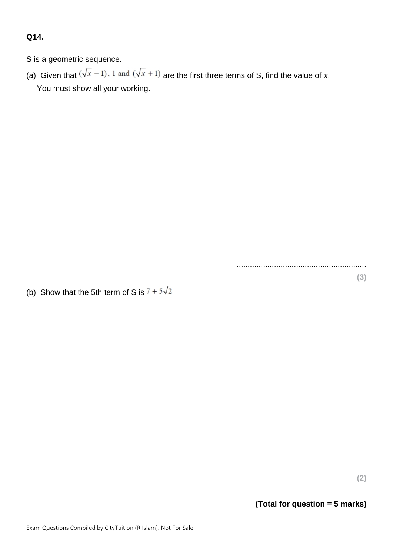# **Q14.**

S is a geometric sequence.

(a) Given that  $(\sqrt{x} - 1)$ , 1 and  $(\sqrt{x} + 1)$  are the first three terms of S, find the value of *x*. You must show all your working.

(b) Show that the 5th term of S is  $7 + 5\sqrt{2}$ 

**(2)**

**(3)**

...........................................................